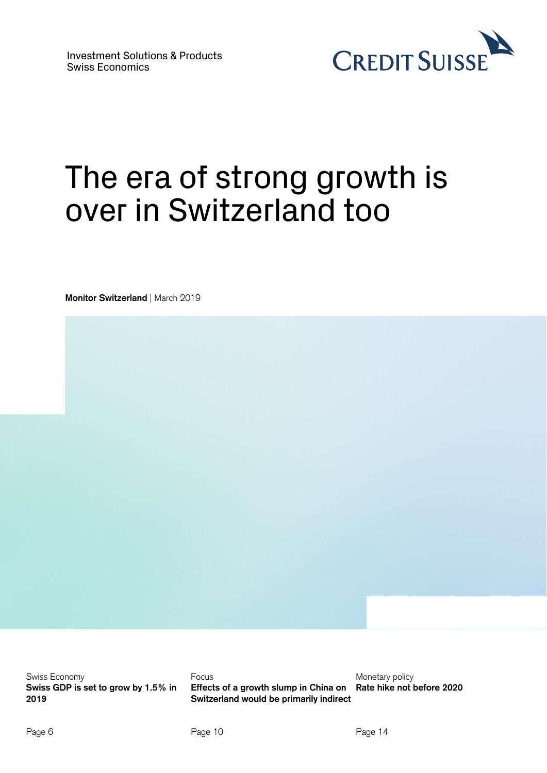

# The era of strong growth is over in Switzerland too

**Monitor Switzerland** | March 2019

Swiss Economy **Swiss GDP is set to grow by 1.5% in 2019** 

Focus **Effects of a growth slump in China on Switzerland would be primarily indirect** 

Monetary policy **Rate hike not before 2020**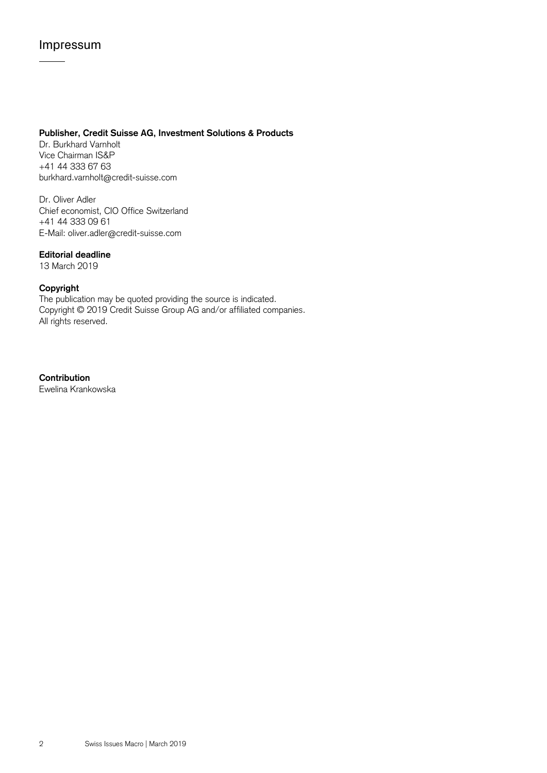## Impressum

### **Publisher, Credit Suisse AG, Investment Solutions & Products**

Dr. Burkhard Varnholt Vice Chairman IS&P +41 44 333 67 63 burkhard.varnholt@credit-suisse.com

Dr. Oliver Adler Chief economist, CIO Office Switzerland +41 44 333 09 61 E-Mail: oliver.adler@credit-suisse.com

### **Editorial deadline**

13 March 2019

### **Copyright**

The publication may be quoted providing the source is indicated. Copyright © 2019 Credit Suisse Group AG and/or affiliated companies. All rights reserved.

**Contribution** Ewelina Krankowska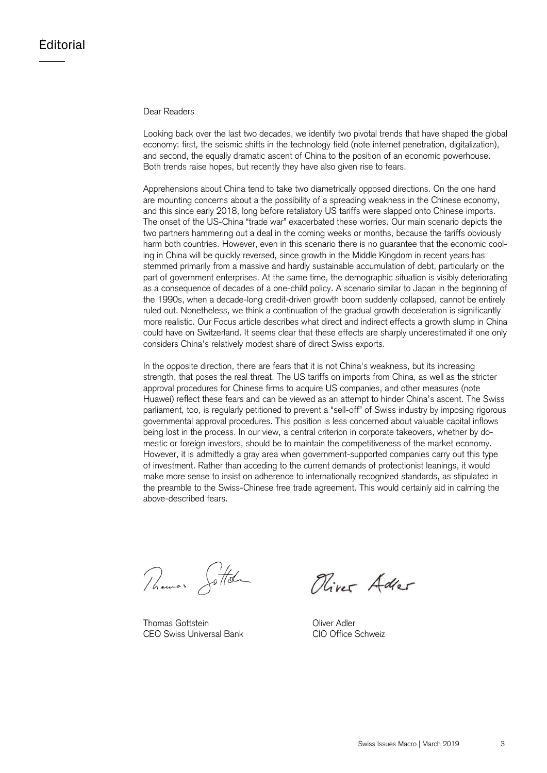### Dear Readers

Looking back over the last two decades, we identify two pivotal trends that have shaped the global economy: first, the seismic shifts in the technology field (note internet penetration, digitalization), and second, the equally dramatic ascent of China to the position of an economic powerhouse. Both trends raise hopes, but recently they have also given rise to fears.

Apprehensions about China tend to take two diametrically opposed directions. On the one hand are mounting concerns about a the possibility of a spreading weakness in the Chinese economy, and this since early 2018, long before retaliatory US tariffs were slapped onto Chinese imports. The onset of the US-China "trade war" exacerbated these worries. Our main scenario depicts the two partners hammering out a deal in the coming weeks or months, because the tariffs obviously harm both countries. However, even in this scenario there is no guarantee that the economic cooling in China will be quickly reversed, since growth in the Middle Kingdom in recent years has stemmed primarily from a massive and hardly sustainable accumulation of debt, particularly on the part of government enterprises. At the same time, the demographic situation is visibly deteriorating as a consequence of decades of a one-child policy. A scenario similar to Japan in the beginning of the 1990s, when a decade-long credit-driven growth boom suddenly collapsed, cannot be entirely ruled out. Nonetheless, we think a continuation of the gradual growth deceleration is significantly more realistic. Our Focus article describes what direct and indirect effects a growth slump in China could have on Switzerland. It seems clear that these effects are sharply underestimated if one only considers China's relatively modest share of direct Swiss exports.

In the opposite direction, there are fears that it is not China's weakness, but its increasing strength, that poses the real threat. The US tariffs on imports from China, as well as the stricter approval procedures for Chinese firms to acquire US companies, and other measures (note Huawei) reflect these fears and can be viewed as an attempt to hinder China's ascent. The Swiss parliament, too, is regularly petitioned to prevent a "sell-off" of Swiss industry by imposing rigorous governmental approval procedures. This position is less concerned about valuable capital inflows being lost in the process. In our view, a central criterion in corporate takeovers, whether by domestic or foreign investors, should be to maintain the competitiveness of the market economy. However, it is admittedly a gray area when government-supported companies carry out this type of investment. Rather than acceding to the current demands of protectionist leanings, it would make more sense to insist on adherence to internationally recognized standards, as stipulated in the preamble to the Swiss-Chinese free trade agreement. This would certainly aid in calming the above-described fears.

Phoenix Jottel

Thomas Gottstein **Contract Contract Contract Contract Contract Contract Contract Contract Contract Contract Contract Contract Contract Contract Contract Contract Contract Contract Contract Contract Contract Contract Contra** CEO Swiss Universal Bank CIO Office Schweiz

Oliver Adler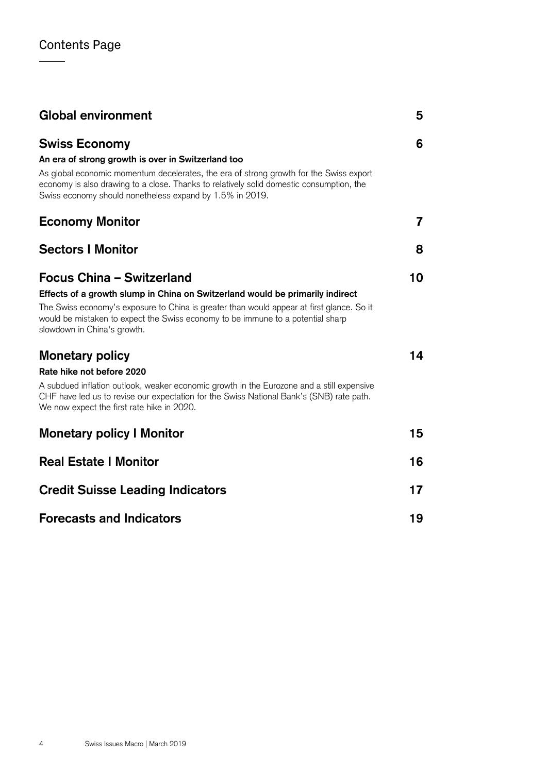| <b>Global environment</b>                                                                                                                                                                                                                                                                                                    | 5  |
|------------------------------------------------------------------------------------------------------------------------------------------------------------------------------------------------------------------------------------------------------------------------------------------------------------------------------|----|
| <b>Swiss Economy</b><br>An era of strong growth is over in Switzerland too<br>As global economic momentum decelerates, the era of strong growth for the Swiss export<br>economy is also drawing to a close. Thanks to relatively solid domestic consumption, the<br>Swiss economy should nonetheless expand by 1.5% in 2019. | 6  |
| <b>Economy Monitor</b>                                                                                                                                                                                                                                                                                                       | 7  |
| <b>Sectors I Monitor</b>                                                                                                                                                                                                                                                                                                     | 8  |
| Focus China - Switzerland<br>Effects of a growth slump in China on Switzerland would be primarily indirect<br>The Swiss economy's exposure to China is greater than would appear at first glance. So it<br>would be mistaken to expect the Swiss economy to be immune to a potential sharp<br>slowdown in China's growth.    | 10 |
| <b>Monetary policy</b><br>Rate hike not before 2020<br>A subdued inflation outlook, weaker economic growth in the Eurozone and a still expensive<br>CHF have led us to revise our expectation for the Swiss National Bank's (SNB) rate path.<br>We now expect the first rate hike in 2020.                                   | 14 |
| <b>Monetary policy I Monitor</b>                                                                                                                                                                                                                                                                                             | 15 |
| <b>Real Estate I Monitor</b>                                                                                                                                                                                                                                                                                                 | 16 |
| <b>Credit Suisse Leading Indicators</b>                                                                                                                                                                                                                                                                                      | 17 |
| <b>Forecasts and Indicators</b>                                                                                                                                                                                                                                                                                              | 19 |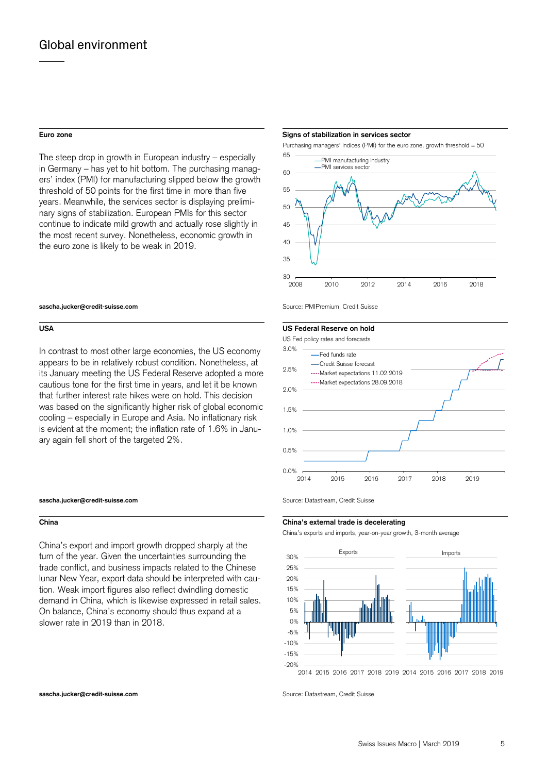The steep drop in growth in European industry – especially in Germany – has yet to hit bottom. The purchasing managers' index (PMI) for manufacturing slipped below the growth threshold of 50 points for the first time in more than five years. Meanwhile, the services sector is displaying preliminary signs of stabilization. European PMIs for this sector continue to indicate mild growth and actually rose slightly in the most recent survey. Nonetheless, economic growth in the euro zone is likely to be weak in 2019.

### **sascha.jucker@credit-suisse.com** Source: PMIPremium, Credit Suisse

In contrast to most other large economies, the US economy appears to be in relatively robust condition. Nonetheless, at its January meeting the US Federal Reserve adopted a more cautious tone for the first time in years, and let it be known that further interest rate hikes were on hold. This decision was based on the significantly higher risk of global economic cooling – especially in Europe and Asia. No inflationary risk is evident at the moment; the inflation rate of 1.6% in January again fell short of the targeted 2%.

### **sascha.jucker@credit-suisse.com** Source: Datastream, Credit Suisse

China's export and import growth dropped sharply at the turn of the year. Given the uncertainties surrounding the trade conflict, and business impacts related to the Chinese lunar New Year, export data should be interpreted with caution. Weak import figures also reflect dwindling domestic demand in China, which is likewise expressed in retail sales. On balance, China's economy should thus expand at a slower rate in 2019 than in 2018.

### **Euro zone** Signs of stabilization in services sector **Signs of stabilization in services sector**

Purchasing managers' indices (PMI) for the euro zone, growth threshold = 50



### **USA US Federal Reserve on hold**



### **China China's external trade is decelerating**

China's exports and imports, year-on-year growth, 3-month average



2014 2015 2016 2017 2018 2019 2014 2015 2016 2017 2018 2019

**sascha.jucker@credit-suisse.com** Source: Datastream, Credit Suisse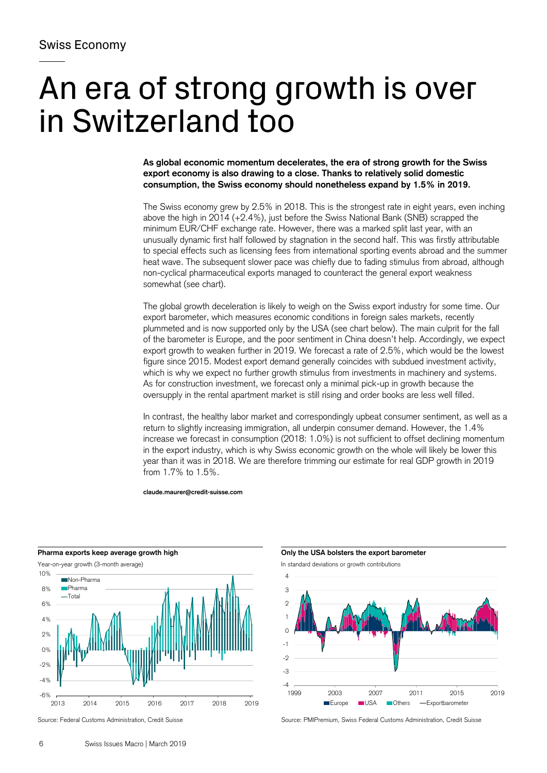# An era of strong growth is over in Switzerland too

**As global economic momentum decelerates, the era of strong growth for the Swiss export economy is also drawing to a close. Thanks to relatively solid domestic consumption, the Swiss economy should nonetheless expand by 1.5% in 2019.** 

The Swiss economy grew by 2.5% in 2018. This is the strongest rate in eight years, even inching above the high in 2014 (+2.4%), just before the Swiss National Bank (SNB) scrapped the minimum EUR/CHF exchange rate. However, there was a marked split last year, with an unusually dynamic first half followed by stagnation in the second half. This was firstly attributable to special effects such as licensing fees from international sporting events abroad and the summer heat wave. The subsequent slower pace was chiefly due to fading stimulus from abroad, although non-cyclical pharmaceutical exports managed to counteract the general export weakness somewhat (see chart).

The global growth deceleration is likely to weigh on the Swiss export industry for some time. Our export barometer, which measures economic conditions in foreign sales markets, recently plummeted and is now supported only by the USA (see chart below). The main culprit for the fall of the barometer is Europe, and the poor sentiment in China doesn't help. Accordingly, we expect export growth to weaken further in 2019. We forecast a rate of 2.5%, which would be the lowest figure since 2015. Modest export demand generally coincides with subdued investment activity, which is why we expect no further growth stimulus from investments in machinery and systems. As for construction investment, we forecast only a minimal pick-up in growth because the oversupply in the rental apartment market is still rising and order books are less well filled.

In contrast, the healthy labor market and correspondingly upbeat consumer sentiment, as well as a return to slightly increasing immigration, all underpin consumer demand. However, the 1.4% increase we forecast in consumption (2018: 1.0%) is not sufficient to offset declining momentum in the export industry, which is why Swiss economic growth on the whole will likely be lower this year than it was in 2018. We are therefore trimming our estimate for real GDP growth in 2019 from 1.7% to 1.5%.

**claude.maurer@credit-suisse.com** 



Pharma exports keep average growth high **CONLY SEA CONLY SEA CONCIDENT** Only the USA bolsters the export barometer



Source: Federal Customs Administration, Credit Suisse Source: PMIPremium, Swiss Federal Customs Administration, Credit Suisse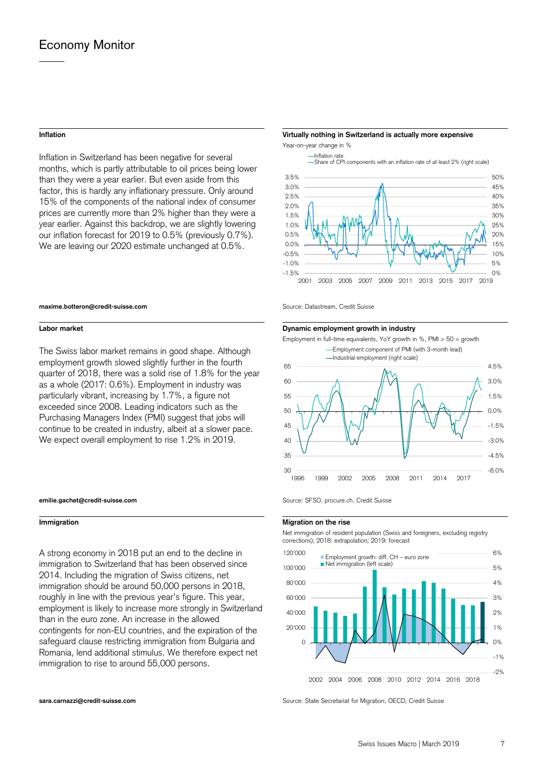Inflation in Switzerland has been negative for several months, which is partly attributable to oil prices being lower than they were a year earlier. But even aside from this factor, this is hardly any inflationary pressure. Only around 15% of the components of the national index of consumer prices are currently more than 2% higher than they were a year earlier. Against this backdrop, we are slightly lowering our inflation forecast for 2019 to 0.5% (previously 0.7%). We are leaving our 2020 estimate unchanged at 0.5%.

### **Inflation Virtually nothing in Switzerland is actually more expensive**

Year-on-year change in %



### **maxime.botteron@credit-suisse.com** Source: Datastream, Credit Suisse

The Swiss labor market remains in good shape. Although employment growth slowed slightly further in the fourth quarter of 2018, there was a solid rise of 1.8% for the year as a whole (2017: 0.6%). Employment in industry was particularly vibrant, increasing by 1.7%, a figure not exceeded since 2008. Leading indicators such as the Purchasing Managers Index (PMI) suggest that jobs will continue to be created in industry, albeit at a slower pace. We expect overall employment to rise 1.2% in 2019.

### **emilie.gachet@credit-suisse.com** Source: SFSO, procure.ch, Credit Suisse

A strong economy in 2018 put an end to the decline in immigration to Switzerland that has been observed since 2014. Including the migration of Swiss citizens, net immigration should be around 50,000 persons in 2018, roughly in line with the previous year's figure. This year, employment is likely to increase more strongly in Switzerland than in the euro zone. An increase in the allowed contingents for non-EU countries, and the expiration of the safeguard clause restricting immigration from Bulgaria and Romania, lend additional stimulus. We therefore expect net immigration to rise to around 55,000 persons.

### **Labor market Labor market Community Community Community Community Community Dynamic employment growth in industry**



### **Immigration** Migration **Migration Migration Migration Migration Migration**

 Net immigration of resident population (Swiss and foreigners, excluding registry corrections); 2018: extrapolation; 2019: forecast



**sara.carnazzi@credit-suisse.com** Source: State Secretariat for Migration, OECD, Credit Suisse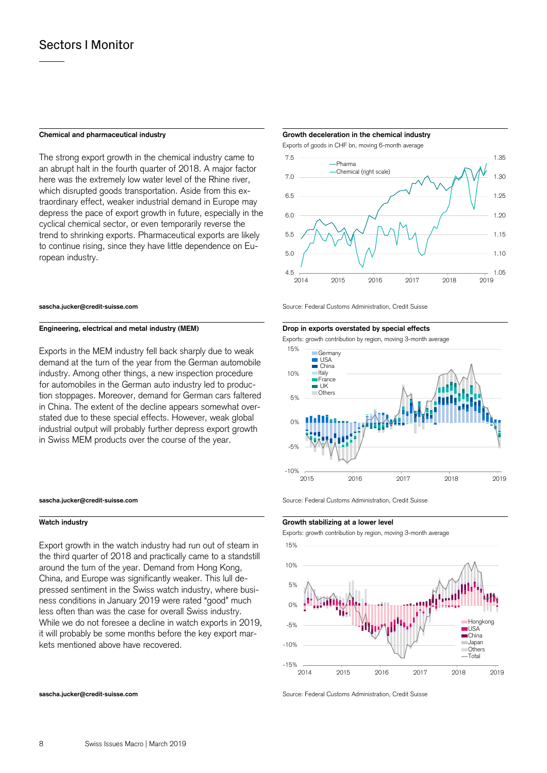The strong export growth in the chemical industry came to an abrupt halt in the fourth quarter of 2018. A major factor here was the extremely low water level of the Rhine river, which disrupted goods transportation. Aside from this extraordinary effect, weaker industrial demand in Europe may depress the pace of export growth in future, especially in the cyclical chemical sector, or even temporarily reverse the trend to shrinking exports. Pharmaceutical exports are likely to continue rising, since they have little dependence on European industry.

### Engineering, electrical and metal industry (MEM) **Drop in exports overstated by special effects**

Exports in the MEM industry fell back sharply due to weak demand at the turn of the year from the German automobile industry. Among other things, a new inspection procedure for automobiles in the German auto industry led to production stoppages. Moreover, demand for German cars faltered in China. The extent of the decline appears somewhat overstated due to these special effects. However, weak global industrial output will probably further depress export growth in Swiss MEM products over the course of the year.

Export growth in the watch industry had run out of steam in the third quarter of 2018 and practically came to a standstill around the turn of the year. Demand from Hong Kong, China, and Europe was significantly weaker. This lull depressed sentiment in the Swiss watch industry, where business conditions in January 2019 were rated "good" much less often than was the case for overall Swiss industry. While we do not foresee a decline in watch exports in 2019, it will probably be some months before the key export markets mentioned above have recovered.

### **Chemical and pharmaceutical industry Growth deceleration in the chemical industry**

Exports of goods in CHF bn, moving 6-month average



**sascha.jucker@credit-suisse.com** Source: Federal Customs Administration, Credit Suisse

Exports: growth contribution by region, moving 3-month average



**sascha.jucker@credit-suisse.com** Source: Federal Customs Administration, Credit Suisse

### **Watch industry Growth stabilizing at a lower level**

Exports: growth contribution by region, moving 3-month average



**sascha.jucker@credit-suisse.com** Source: Federal Customs Administration, Credit Suisse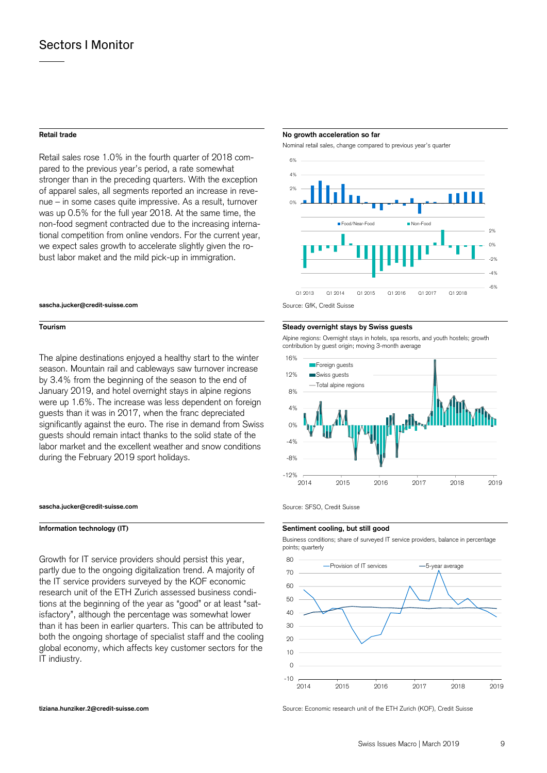Retail sales rose 1.0% in the fourth quarter of 2018 compared to the previous year's period, a rate somewhat stronger than in the preceding quarters. With the exception of apparel sales, all segments reported an increase in revenue – in some cases quite impressive. As a result, turnover was up 0.5% for the full year 2018. At the same time, the non-food segment contracted due to the increasing international competition from online vendors. For the current year, we expect sales growth to accelerate slightly given the robust labor maket and the mild pick-up in immigration.

### **sascha.jucker@credit-suisse.com** Source: GfK, Credit Suisse

The alpine destinations enjoyed a healthy start to the winter season. Mountain rail and cableways saw turnover increase by 3.4% from the beginning of the season to the end of January 2019, and hotel overnight stays in alpine regions were up 1.6%. The increase was less dependent on foreign guests than it was in 2017, when the franc depreciated significantly against the euro. The rise in demand from Swiss guests should remain intact thanks to the solid state of the labor market and the excellent weather and snow conditions during the February 2019 sport holidays.

### **sascha.jucker@credit-suisse.com** Source: SFSO, Credit Suisse

**Information technology (IT)** Sentiment cooling, but still good

Growth for IT service providers should persist this year, partly due to the ongoing digitalization trend. A majority of the IT service providers surveyed by the KOF economic research unit of the ETH Zurich assessed business conditions at the beginning of the year as "good" or at least "satisfactory", although the percentage was somewhat lower than it has been in earlier quarters. This can be attributed to both the ongoing shortage of specialist staff and the cooling global economy, which affects key customer sectors for the IT indiustry.

### **Retail trade** No growth acceleration so far **No growth acceleration so far**  No growth acceleration so far

Nominal retail sales, change compared to previous year's quarter



### **Tourism Steady overnight stays by Swiss guests**

Alpine regions: Overnight stays in hotels, spa resorts, and youth hostels; growth contribution by guest origin; moving 3-month average



 Business conditions; share of surveyed IT service providers, balance in percentage points; quarterly



**tiziana.hunziker.2@credit-suisse.com** Source: Economic research unit of the ETH Zurich (KOF), Credit Suisse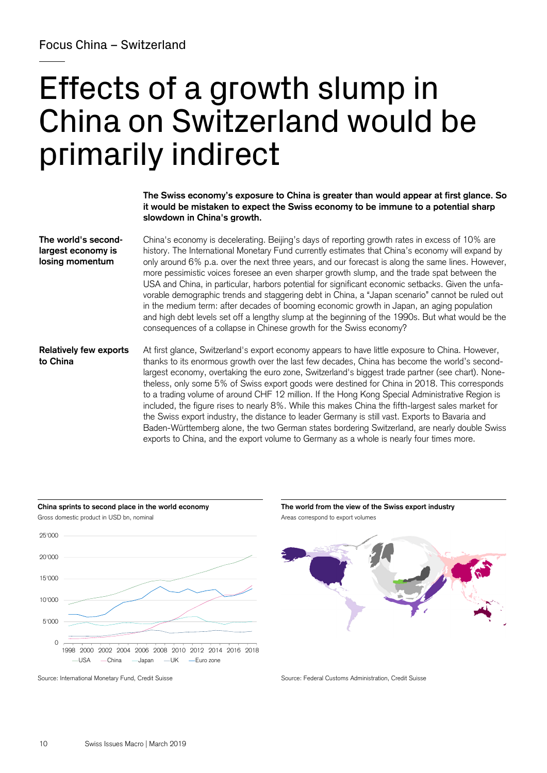# Effects of a growth slump in China on Switzerland would be primarily indirect

**The Swiss economy's exposure to China is greater than would appear at first glance. So it would be mistaken to expect the Swiss economy to be immune to a potential sharp slowdown in China's growth.** 

China's economy is decelerating. Beijing's days of reporting growth rates in excess of 10% are history. The International Monetary Fund currently estimates that China's economy will expand by only around 6% p.a. over the next three years, and our forecast is along the same lines. However, more pessimistic voices foresee an even sharper growth slump, and the trade spat between the USA and China, in particular, harbors potential for significant economic setbacks. Given the unfavorable demographic trends and staggering debt in China, a "Japan scenario" cannot be ruled out in the medium term: after decades of booming economic growth in Japan, an aging population and high debt levels set off a lengthy slump at the beginning of the 1990s. But what would be the consequences of a collapse in Chinese growth for the Swiss economy? **The world's secondlargest economy is losing momentum** 

At first glance, Switzerland's export economy appears to have little exposure to China. However, thanks to its enormous growth over the last few decades, China has become the world's secondlargest economy, overtaking the euro zone, Switzerland's biggest trade partner (see chart). Nonetheless, only some 5% of Swiss export goods were destined for China in 2018. This corresponds to a trading volume of around CHF 12 million. If the Hong Kong Special Administrative Region is included, the figure rises to nearly 8%. While this makes China the fifth-largest sales market for the Swiss export industry, the distance to leader Germany is still vast. Exports to Bavaria and Baden-Württemberg alone, the two German states bordering Switzerland, are nearly double Swiss exports to China, and the export volume to Germany as a whole is nearly four times more. **Relatively few exports to China** 





Source: International Monetary Fund, Credit Suisse Source: Federal Customs Administration, Credit Suisse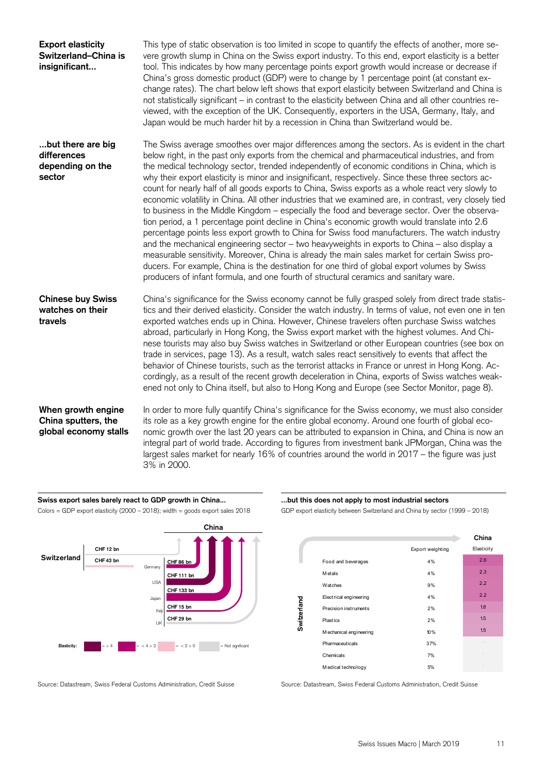| <b>Export elasticity</b><br>Switzerland-China is<br>insignificant  | This type of static observation is too limited in scope to quantify the effects of another, more se-<br>vere growth slump in China on the Swiss export industry. To this end, export elasticity is a better<br>tool. This indicates by how many percentage points export growth would increase or decrease if<br>China's gross domestic product (GDP) were to change by 1 percentage point (at constant ex-<br>change rates). The chart below left shows that export elasticity between Switzerland and China is<br>not statistically significant - in contrast to the elasticity between China and all other countries re-<br>viewed, with the exception of the UK. Consequently, exporters in the USA, Germany, Italy, and<br>Japan would be much harder hit by a recession in China than Switzerland would be.                                                                                                                                                                                                                                                                                                                                                                                                                                                                                                               |
|--------------------------------------------------------------------|---------------------------------------------------------------------------------------------------------------------------------------------------------------------------------------------------------------------------------------------------------------------------------------------------------------------------------------------------------------------------------------------------------------------------------------------------------------------------------------------------------------------------------------------------------------------------------------------------------------------------------------------------------------------------------------------------------------------------------------------------------------------------------------------------------------------------------------------------------------------------------------------------------------------------------------------------------------------------------------------------------------------------------------------------------------------------------------------------------------------------------------------------------------------------------------------------------------------------------------------------------------------------------------------------------------------------------|
| but there are big<br>differences<br>depending on the<br>sector     | The Swiss average smoothes over major differences among the sectors. As is evident in the chart<br>below right, in the past only exports from the chemical and pharmaceutical industries, and from<br>the medical technology sector, trended independently of economic conditions in China, which is<br>why their export elasticity is minor and insignificant, respectively. Since these three sectors ac-<br>count for nearly half of all goods exports to China, Swiss exports as a whole react very slowly to<br>economic volatility in China. All other industries that we examined are, in contrast, very closely tied<br>to business in the Middle Kingdom - especially the food and beverage sector. Over the observa-<br>tion period, a 1 percentage point decline in China's economic growth would translate into 2.6<br>percentage points less export growth to China for Swiss food manufacturers. The watch industry<br>and the mechanical engineering sector - two heavyweights in exports to China - also display a<br>measurable sensitivity. Moreover, China is already the main sales market for certain Swiss pro-<br>ducers. For example, China is the destination for one third of global export volumes by Swiss<br>producers of infant formula, and one fourth of structural ceramics and sanitary ware. |
| <b>Chinese buy Swiss</b><br>watches on their<br>travels            | China's significance for the Swiss economy cannot be fully grasped solely from direct trade statis-<br>tics and their derived elasticity. Consider the watch industry. In terms of value, not even one in ten<br>exported watches ends up in China. However, Chinese travelers often purchase Swiss watches<br>abroad, particularly in Hong Kong, the Swiss export market with the highest volumes. And Chi-<br>nese tourists may also buy Swiss watches in Switzerland or other European countries (see box on<br>trade in services, page 13). As a result, watch sales react sensitively to events that affect the<br>behavior of Chinese tourists, such as the terrorist attacks in France or unrest in Hong Kong. Ac-<br>cordingly, as a result of the recent growth deceleration in China, exports of Swiss watches weak-<br>ened not only to China itself, but also to Hong Kong and Europe (see Sector Monitor, page 8).                                                                                                                                                                                                                                                                                                                                                                                                 |
| When growth engine<br>China sputters, the<br>global economy stalls | In order to more fully quantify China's significance for the Swiss economy, we must also consider<br>its role as a key growth engine for the entire global economy. Around one fourth of global eco-<br>nomic growth over the last 20 years can be attributed to expansion in China, and China is now an<br>integral part of world trade. According to figures from investment bank JPMorgan, China was the<br>largest sales market for nearly 16% of countries around the world in 2017 - the figure was just<br>3% in 2000.                                                                                                                                                                                                                                                                                                                                                                                                                                                                                                                                                                                                                                                                                                                                                                                                   |

Swiss export sales barely react to GDP growth in China... **........** ... but this does not apply to most industrial sectors Colors = GDP export elasticity (2000 – 2018); width = goods export sales 2018 GDP export elasticity between Switzerland and China by sector (1999 – 2018)



Source: Datastream, Swiss Federal Customs Administration, Credit Suisse Source: Datastream, Swiss Federal Customs Administration, Credit Suisse

|             |                         |                  | China      |
|-------------|-------------------------|------------------|------------|
|             |                         | Export weighting | Elasticity |
|             | Food and beverages      | 4%               | 2.6        |
|             | <b>M</b> etals          | 4%               | 2.3        |
|             | Watches                 | 9%               | 2.2        |
| Switzerland | Electrical engineering  | 4%               | 2.2        |
|             | Precision instruments   | 2%               | 1.8        |
|             | Plastics                | 2%               | 1.5        |
|             | M echanical engineering | 10%              | 1.5        |
|             | <b>Pharmaceuticals</b>  | 37%              |            |
|             | Chemicals               | 7%               |            |
|             | Medical technology      | 5%               |            |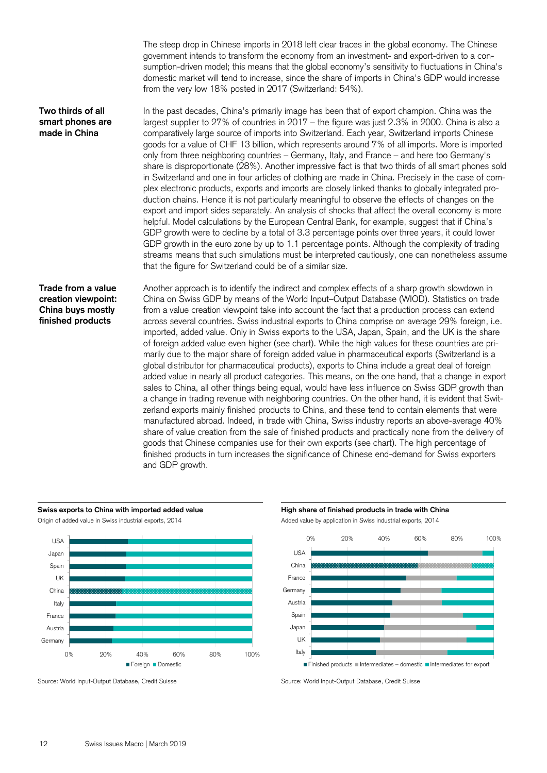The steep drop in Chinese imports in 2018 left clear traces in the global economy. The Chinese government intends to transform the economy from an investment- and export-driven to a consumption-driven model; this means that the global economy's sensitivity to fluctuations in China's domestic market will tend to increase, since the share of imports in China's GDP would increase from the very low 18% posted in 2017 (Switzerland: 54%).

In the past decades, China's primarily image has been that of export champion. China was the largest supplier to 27% of countries in 2017 – the figure was just 2.3% in 2000. China is also a comparatively large source of imports into Switzerland. Each year, Switzerland imports Chinese goods for a value of CHF 13 billion, which represents around 7% of all imports. More is imported only from three neighboring countries – Germany, Italy, and France – and here too Germany's share is disproportionate (28%). Another impressive fact is that two thirds of all smart phones sold in Switzerland and one in four articles of clothing are made in China. Precisely in the case of complex electronic products, exports and imports are closely linked thanks to globally integrated production chains. Hence it is not particularly meaningful to observe the effects of changes on the export and import sides separately. An analysis of shocks that affect the overall economy is more helpful. Model calculations by the European Central Bank, for example, suggest that if China's GDP growth were to decline by a total of 3.3 percentage points over three years, it could lower GDP growth in the euro zone by up to 1.1 percentage points. Although the complexity of trading streams means that such simulations must be interpreted cautiously, one can nonetheless assume that the figure for Switzerland could be of a similar size. **Two thirds of all smart phones are made in China** 

Another approach is to identify the indirect and complex effects of a sharp growth slowdown in China on Swiss GDP by means of the World Input–Output Database (WIOD). Statistics on trade from a value creation viewpoint take into account the fact that a production process can extend across several countries. Swiss industrial exports to China comprise on average 29% foreign, i.e. imported, added value. Only in Swiss exports to the USA, Japan, Spain, and the UK is the share of foreign added value even higher (see chart). While the high values for these countries are primarily due to the major share of foreign added value in pharmaceutical exports (Switzerland is a global distributor for pharmaceutical products), exports to China include a great deal of foreign added value in nearly all product categories. This means, on the one hand, that a change in export sales to China, all other things being equal, would have less influence on Swiss GDP growth than a change in trading revenue with neighboring countries. On the other hand, it is evident that Switzerland exports mainly finished products to China, and these tend to contain elements that were manufactured abroad. Indeed, in trade with China, Swiss industry reports an above-average 40% share of value creation from the sale of finished products and practically none from the delivery of goods that Chinese companies use for their own exports (see chart). The high percentage of finished products in turn increases the significance of Chinese end-demand for Swiss exporters and GDP growth. **Trade from a value creation viewpoint: China buys mostly finished products** 



Source: World Input-Output Database, Credit Suisse Source: World Input-Output Database, Credit Suisse

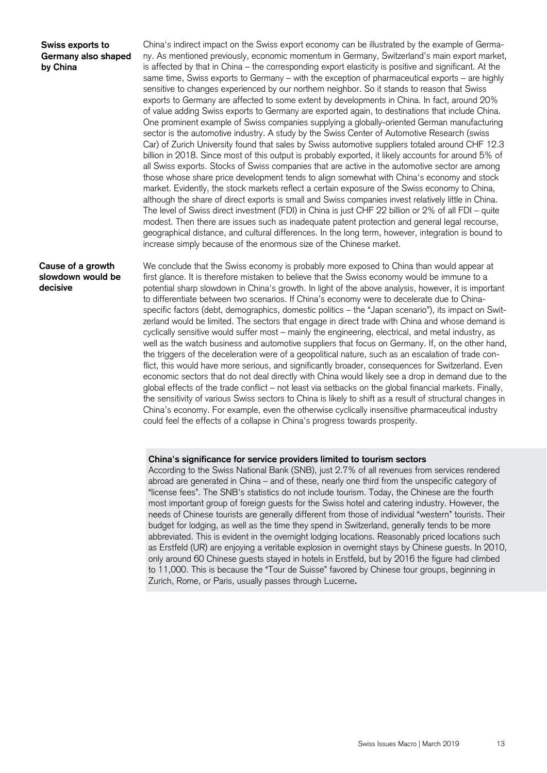### **Swiss exports to Germany also shaped by China**

China's indirect impact on the Swiss export economy can be illustrated by the example of Germany. As mentioned previously, economic momentum in Germany, Switzerland's main export market, is affected by that in China – the corresponding export elasticity is positive and significant. At the same time, Swiss exports to Germany – with the exception of pharmaceutical exports – are highly sensitive to changes experienced by our northern neighbor. So it stands to reason that Swiss exports to Germany are affected to some extent by developments in China. In fact, around 20% of value adding Swiss exports to Germany are exported again, to destinations that include China. One prominent example of Swiss companies supplying a globally-oriented German manufacturing sector is the automotive industry. A study by the Swiss Center of Automotive Research (swiss Car) of Zurich University found that sales by Swiss automotive suppliers totaled around CHF 12.3 billion in 2018. Since most of this output is probably exported, it likely accounts for around 5% of all Swiss exports. Stocks of Swiss companies that are active in the automotive sector are among those whose share price development tends to align somewhat with China's economy and stock market. Evidently, the stock markets reflect a certain exposure of the Swiss economy to China, although the share of direct exports is small and Swiss companies invest relatively little in China. The level of Swiss direct investment (FDI) in China is just CHF 22 billion or 2% of all FDI – quite modest. Then there are issues such as inadequate patent protection and general legal recourse, geographical distance, and cultural differences. In the long term, however, integration is bound to increase simply because of the enormous size of the Chinese market.

**Cause of a growth slowdown would be decisive** 

We conclude that the Swiss economy is probably more exposed to China than would appear at first glance. It is therefore mistaken to believe that the Swiss economy would be immune to a potential sharp slowdown in China's growth. In light of the above analysis, however, it is important to differentiate between two scenarios. If China's economy were to decelerate due to Chinaspecific factors (debt, demographics, domestic politics – the "Japan scenario"), its impact on Switzerland would be limited. The sectors that engage in direct trade with China and whose demand is cyclically sensitive would suffer most – mainly the engineering, electrical, and metal industry, as well as the watch business and automotive suppliers that focus on Germany. If, on the other hand, the triggers of the deceleration were of a geopolitical nature, such as an escalation of trade conflict, this would have more serious, and significantly broader, consequences for Switzerland. Even economic sectors that do not deal directly with China would likely see a drop in demand due to the global effects of the trade conflict – not least via setbacks on the global financial markets. Finally, the sensitivity of various Swiss sectors to China is likely to shift as a result of structural changes in China's economy. For example, even the otherwise cyclically insensitive pharmaceutical industry could feel the effects of a collapse in China's progress towards prosperity.

### **China's significance for service providers limited to tourism sectors**

According to the Swiss National Bank (SNB), just 2.7% of all revenues from services rendered abroad are generated in China – and of these, nearly one third from the unspecific category of "license fees". The SNB's statistics do not include tourism. Today, the Chinese are the fourth most important group of foreign guests for the Swiss hotel and catering industry. However, the needs of Chinese tourists are generally different from those of individual "western" tourists. Their budget for lodging, as well as the time they spend in Switzerland, generally tends to be more abbreviated. This is evident in the overnight lodging locations. Reasonably priced locations such as Erstfeld (UR) are enjoying a veritable explosion in overnight stays by Chinese guests. In 2010, only around 60 Chinese guests stayed in hotels in Erstfeld, but by 2016 the figure had climbed to 11,000. This is because the "Tour de Suisse" favored by Chinese tour groups, beginning in Zurich, Rome, or Paris, usually passes through Lucerne**.**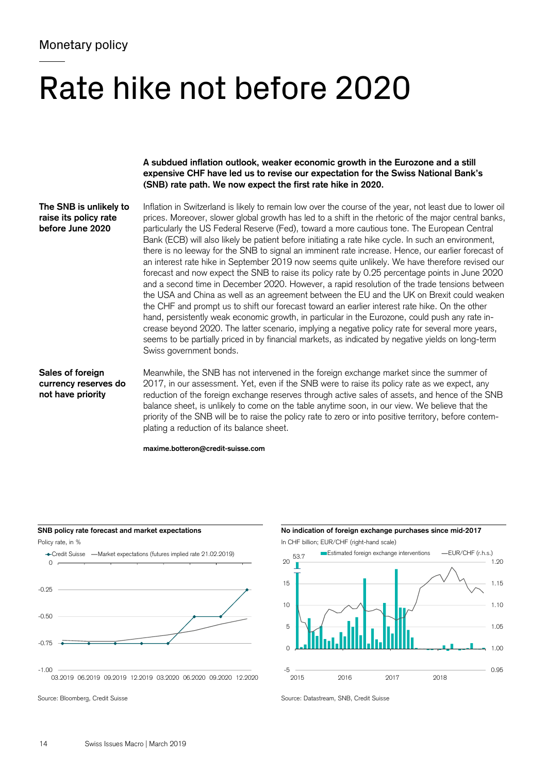# Rate hike not before 2020

**A subdued inflation outlook, weaker economic growth in the Eurozone and a still expensive CHF have led us to revise our expectation for the Swiss National Bank's (SNB) rate path. We now expect the first rate hike in 2020.** 

**The SNB is unlikely to raise its policy rate before June 2020** 

Inflation in Switzerland is likely to remain low over the course of the year, not least due to lower oil prices. Moreover, slower global growth has led to a shift in the rhetoric of the major central banks, particularly the US Federal Reserve (Fed), toward a more cautious tone. The European Central Bank (ECB) will also likely be patient before initiating a rate hike cycle. In such an environment, there is no leeway for the SNB to signal an imminent rate increase. Hence, our earlier forecast of an interest rate hike in September 2019 now seems quite unlikely. We have therefore revised our forecast and now expect the SNB to raise its policy rate by 0.25 percentage points in June 2020 and a second time in December 2020. However, a rapid resolution of the trade tensions between the USA and China as well as an agreement between the EU and the UK on Brexit could weaken the CHF and prompt us to shift our forecast toward an earlier interest rate hike. On the other hand, persistently weak economic growth, in particular in the Eurozone, could push any rate increase beyond 2020. The latter scenario, implying a negative policy rate for several more years, seems to be partially priced in by financial markets, as indicated by negative yields on long-term Swiss government bonds.

**Sales of foreign currency reserves do not have priority** 

Meanwhile, the SNB has not intervened in the foreign exchange market since the summer of 2017, in our assessment. Yet, even if the SNB were to raise its policy rate as we expect, any reduction of the foreign exchange reserves through active sales of assets, and hence of the SNB balance sheet, is unlikely to come on the table anytime soon, in our view. We believe that the priority of the SNB will be to raise the policy rate to zero or into positive territory, before contemplating a reduction of its balance sheet.

**maxime.botteron@credit-suisse.com** 





Source: Bloomberg, Credit Suisse Source: Datastream, SNB, Credit Suisse Source: Datastream, SNB, Credit Suisse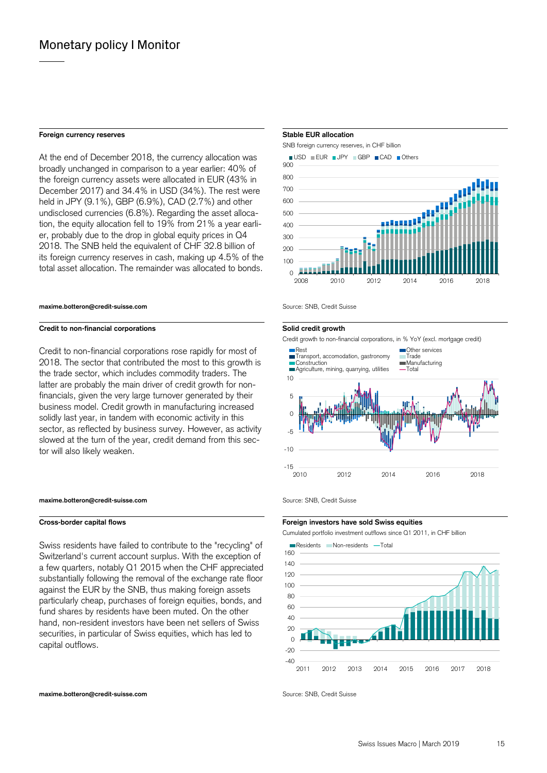### **Foreign currency reserves** Stable EUR allocation **Stable EUR** allocation

At the end of December 2018, the currency allocation was broadly unchanged in comparison to a year earlier: 40% of the foreign currency assets were allocated in EUR (43% in December 2017) and 34.4% in USD (34%). The rest were held in JPY (9.1%), GBP (6.9%), CAD (2.7%) and other undisclosed currencies (6.8%). Regarding the asset allocation, the equity allocation fell to 19% from 21% a year earlier, probably due to the drop in global equity prices in Q4 2018. The SNB held the equivalent of CHF 32.8 billion of its foreign currency reserves in cash, making up 4.5% of the total asset allocation. The remainder was allocated to bonds.

### **maxime.botteron@credit-suisse.com Source: SNB, Credit Suisse** Suite of Suite Suite of Suite Suisse

### **Credit to non-financial corporations Credit to non-financial corporations Solid credit growth**

Credit to non-financial corporations rose rapidly for most of 2018. The sector that contributed the most to this growth is the trade sector, which includes commodity traders. The latter are probably the main driver of credit growth for nonfinancials, given the very large turnover generated by their business model. Credit growth in manufacturing increased solidly last year, in tandem with economic activity in this sector, as reflected by business survey. However, as activity slowed at the turn of the year, credit demand from this sector will also likely weaken.

### **maxime.botteron@credit-suisse.com** Source: SNB, Credit Suisse

Swiss residents have failed to contribute to the "recycling" of Switzerland's current account surplus. With the exception of a few quarters, notably Q1 2015 when the CHF appreciated substantially following the removal of the exchange rate floor against the EUR by the SNB, thus making foreign assets particularly cheap, purchases of foreign equities, bonds, and fund shares by residents have been muted. On the other hand, non-resident investors have been net sellers of Swiss securities, in particular of Swiss equities, which has led to capital outflows.

 SNB foreign currency reserves, in CHF billion  $\blacksquare$  USD  $\blacksquare$  EUR  $\blacksquare$  JPY  $\blacksquare$  GBP  $\blacksquare$  CAD  $\blacksquare$  Others



Credit growth to non-financial corporations, in % YoY (excl. mortgage credit)



### **Cross-border capital flows Foreign investors have sold Swiss equities**

Cumulated portfolio investment outflows since Q1 2011, in CHF billion

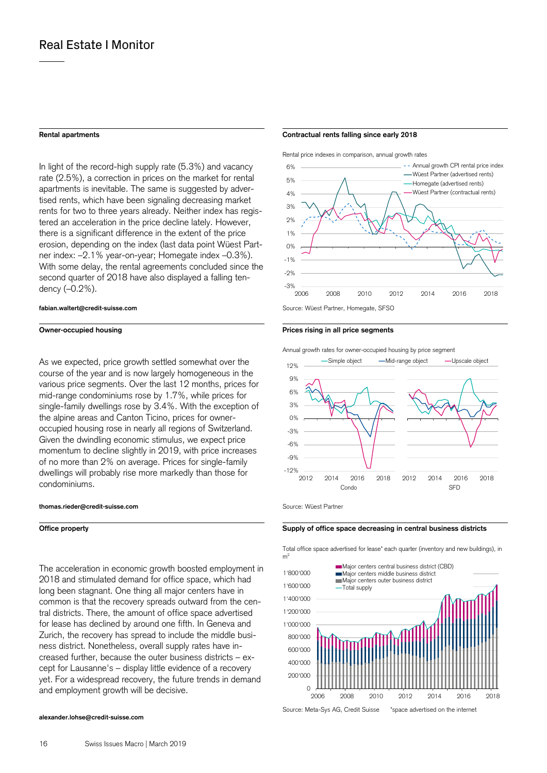In light of the record-high supply rate (5.3%) and vacancy rate (2.5%), a correction in prices on the market for rental apartments is inevitable. The same is suggested by advertised rents, which have been signaling decreasing market rents for two to three years already. Neither index has registered an acceleration in the price decline lately. However, there is a significant difference in the extent of the price erosion, depending on the index (last data point Wüest Partner index: –2.1% year-on-year; Homegate index –0.3%). With some delay, the rental agreements concluded since the second quarter of 2018 have also displayed a falling tendency (–0.2%).

### **fabian.waltert@credit-suisse.com** Source: Wüest Partner, Homegate, SFSO

### **Owner-occupied housing the segments of the segments of the segments of the segments of the segments of the segments**

As we expected, price growth settled somewhat over the course of the year and is now largely homogeneous in the various price segments. Over the last 12 months, prices for mid-range condominiums rose by 1.7%, while prices for single-family dwellings rose by 3.4%. With the exception of the alpine areas and Canton Ticino, prices for owneroccupied housing rose in nearly all regions of Switzerland. Given the dwindling economic stimulus, we expect price momentum to decline slightly in 2019, with price increases of no more than 2% on average. Prices for single-family dwellings will probably rise more markedly than those for condominiums.

### **thomas.rieder@credit-suisse.com** Source: Wüest Partner

The acceleration in economic growth boosted employment in 2018 and stimulated demand for office space, which had long been stagnant. One thing all major centers have in common is that the recovery spreads outward from the central districts. There, the amount of office space advertised for lease has declined by around one fifth. In Geneva and Zurich, the recovery has spread to include the middle business district. Nonetheless, overall supply rates have increased further, because the outer business districts – except for Lausanne's – display little evidence of a recovery yet. For a widespread recovery, the future trends in demand and employment growth will be decisive.

### **alexander.lohse@credit-suisse.com**

### **Rental apartments Contractual rents falling since early 2018**

Rental price indexes in comparison, annual growth rates





### **Office property Supply of office space decreasing in central business districts Supply of office space decreasing in central business districts**

 Total office space advertised for lease\* each quarter (inventory and new buildings), in  $m<sup>2</sup>$ 



Source: Meta-Sys AG, Credit Suisse \*space advertised on the internet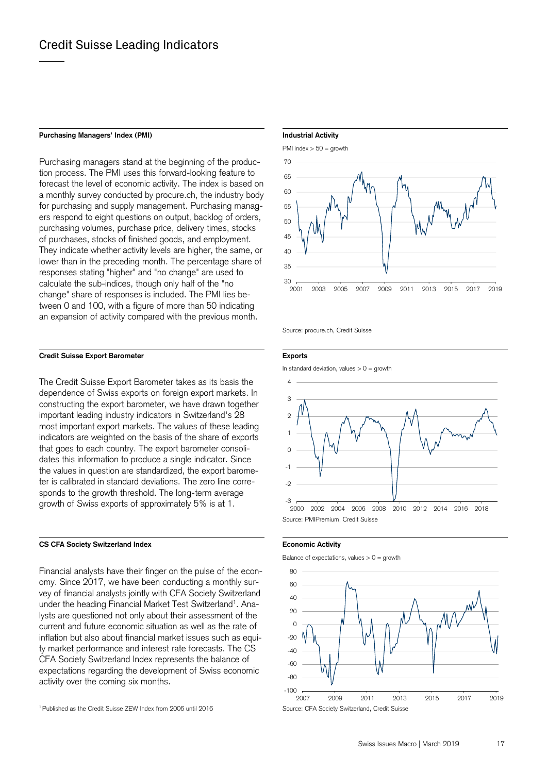### Purchasing Managers' Index (PMI) **Industrial Activity Industrial Activity**

Purchasing managers stand at the beginning of the production process. The PMI uses this forward-looking feature to forecast the level of economic activity. The index is based on a monthly survey conducted by procure.ch, the industry body for purchasing and supply management. Purchasing managers respond to eight questions on output, backlog of orders, purchasing volumes, purchase price, delivery times, stocks of purchases, stocks of finished goods, and employment. They indicate whether activity levels are higher, the same, or lower than in the preceding month. The percentage share of responses stating "higher" and "no change" are used to calculate the sub-indices, though only half of the "no change" share of responses is included. The PMI lies between 0 and 100, with a figure of more than 50 indicating an expansion of activity compared with the previous month.

### **Credit Suisse Export Barometer Exports**

The Credit Suisse Export Barometer takes as its basis the dependence of Swiss exports on foreign export markets. In constructing the export barometer, we have drawn together important leading industry indicators in Switzerland's 28 most important export markets. The values of these leading indicators are weighted on the basis of the share of exports that goes to each country. The export barometer consolidates this information to produce a single indicator. Since the values in question are standardized, the export barometer is calibrated in standard deviations. The zero line corresponds to the growth threshold. The long-term average growth of Swiss exports of approximately 5% is at 1.

### **CS CFA Society Switzerland Index <b>Economic Activity Economic Activity**

Financial analysts have their finger on the pulse of the economy. Since 2017, we have been conducting a monthly survey of financial analysts jointly with CFA Society Switzerland under the heading Financial Market Test Switzerland<sup>1</sup>. Analysts are questioned not only about their assessment of the current and future economic situation as well as the rate of inflation but also about financial market issues such as equity market performance and interest rate forecasts. The CS CFA Society Switzerland Index represents the balance of expectations regarding the development of Swiss economic activity over the coming six months.

## PMI index > 50 = growth  $30 - 2001$ 35  $40$ 45 50 55  $60$ 65 70 2001 2003 2005 2007 2009 2011 2013 2015 2017 2019

Source: procure.ch, Credit Suisse

In standard deviation, values  $> 0 =$  growth





Balance of expectations, values  $> 0 =$  growth



<sup>&</sup>lt;sup>1</sup> Published as the Credit Suisse ZEW Index from 2006 until 2016 Source: CFA Society Switzerland, Credit Suisse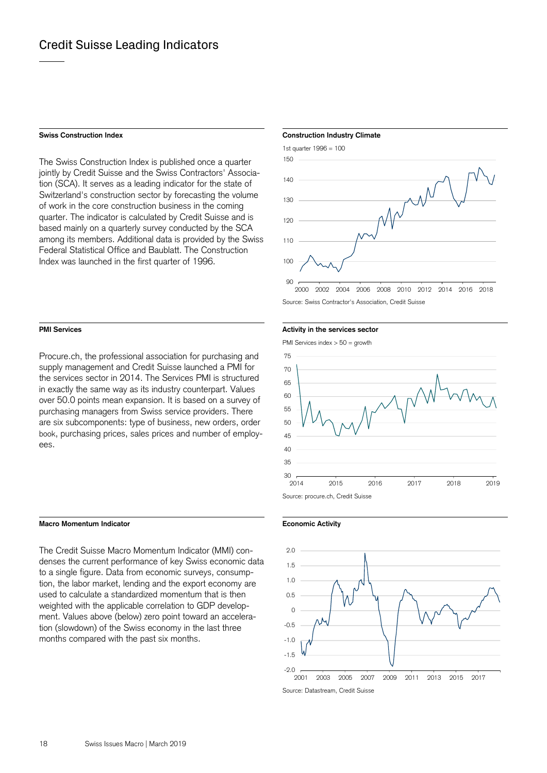The Swiss Construction Index is published once a quarter jointly by Credit Suisse and the Swiss Contractors' Association (SCA). It serves as a leading indicator for the state of Switzerland's construction sector by forecasting the volume of work in the core construction business in the coming quarter. The indicator is calculated by Credit Suisse and is based mainly on a quarterly survey conducted by the SCA among its members. Additional data is provided by the Swiss Federal Statistical Office and Baublatt. The Construction Index was launched in the first quarter of 1996.

Procure.ch, the professional association for purchasing and supply management and Credit Suisse launched a PMI for the services sector in 2014. The Services PMI is structured in exactly the same way as its industry counterpart. Values over 50.0 points mean expansion. It is based on a survey of purchasing managers from Swiss service providers. There are six subcomponents: type of business, new orders, order book, purchasing prices, sales prices and number of employees.

### **Macro Momentum Indicator Economic Activity**

The Credit Suisse Macro Momentum Indicator (MMI) condenses the current performance of key Swiss economic data to a single figure. Data from economic surveys, consumption, the labor market, lending and the export economy are used to calculate a standardized momentum that is then weighted with the applicable correlation to GDP development. Values above (below) zero point toward an acceleration (slowdown) of the Swiss economy in the last three months compared with the past six months.

### **Swiss Construction Index Construction Industry Climate Construction Industry Climate**



Source: Swiss Contractor's Association, Credit Suisse

### **PMI Services PMI Services Activity in the services sector PMI** Services sector

PMI Services index > 50 = growth





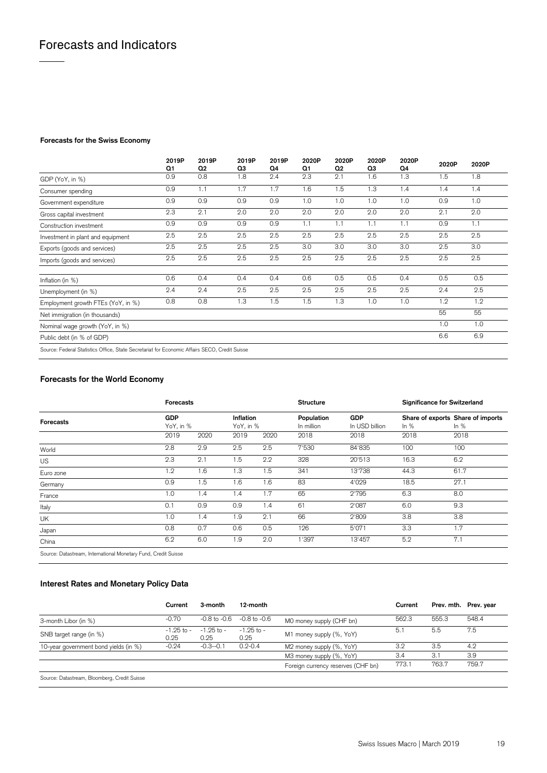### **Forecasts for the Swiss Economy**

|                                                                                               | 2019P<br>Q1 | 2019P<br>Q <sub>2</sub> | 2019P<br>Q3 | 2019P<br>Q4 | 2020P<br>Q1 | 2020P<br>Q <sub>2</sub> | 2020P<br>QЗ | 2020P<br>Q4 | 2020P | 2020P |
|-----------------------------------------------------------------------------------------------|-------------|-------------------------|-------------|-------------|-------------|-------------------------|-------------|-------------|-------|-------|
| GDP (YoY, in %)                                                                               | 0.9         | 0.8                     | 1.8         | 2.4         | 2.3         | 2.1                     | 1.6         | 1.3         | 1.5   | 1.8   |
| Consumer spending                                                                             | 0.9         | 1.1                     | 1.7         | 1.7         | 1.6         | 1.5                     | 1.3         | 1.4         | 1.4   | 1.4   |
| Government expenditure                                                                        | 0.9         | 0.9                     | 0.9         | 0.9         | 1.0         | 1.0                     | 1.0         | 1.0         | 0.9   | 1.0   |
| Gross capital investment                                                                      | 2.3         | 2.1                     | 2.0         | 2.0         | 2.0         | 2.0                     | 2.0         | 2.0         | 2.1   | 2.0   |
| Construction investment                                                                       | 0.9         | 0.9                     | 0.9         | 0.9         | 1.1         | 1.1                     | 1.1         | 1.1         | 0.9   | 1.1   |
| Investment in plant and equipment                                                             | 2.5         | 2.5                     | 2.5         | 2.5         | 2.5         | 2.5                     | 2.5         | 2.5         | 2.5   | 2.5   |
| Exports (goods and services)                                                                  | 2.5         | 2.5                     | 2.5         | 2.5         | 3.0         | 3.0                     | 3.0         | 3.0         | 2.5   | 3.0   |
| Imports (goods and services)                                                                  | 2.5         | 2.5                     | 2.5         | 2.5         | 2.5         | 2.5                     | 2.5         | 2.5         | 2.5   | 2.5   |
| Inflation (in %)                                                                              | 0.6         | 0.4                     | 0.4         | 0.4         | 0.6         | 0.5                     | 0.5         | 0.4         | 0.5   | 0.5   |
| Unemployment (in %)                                                                           | 2.4         | 2.4                     | 2.5         | 2.5         | 2.5         | 2.5                     | 2.5         | 2.5         | 2.4   | 2.5   |
| Employment growth FTEs (YoY, in %)                                                            | 0.8         | 0.8                     | 1.3         | 1.5         | 1.5         | 1.3                     | 1.0         | 1.0         | 1.2   | 1.2   |
| Net immigration (in thousands)                                                                |             |                         |             |             |             |                         |             |             | 55    | 55    |
| Nominal wage growth (YoY, in %)                                                               |             |                         |             |             |             |                         |             |             | 1.0   | 1.0   |
| Public debt (in % of GDP)                                                                     |             |                         |             |             |             |                         |             |             | 6.6   | 6.9   |
| Source: Federal Statistics Office, State Secretariat for Economic Affairs SECO, Credit Suisse |             |                         |             |             |             |                         |             |             |       |       |

### **Forecasts for the World Economy**

|                  | <b>Forecasts</b> |           |      |                        | <b>Structure</b>         |                              | <b>Significance for Switzerland</b> |                                             |
|------------------|------------------|-----------|------|------------------------|--------------------------|------------------------------|-------------------------------------|---------------------------------------------|
| <b>Forecasts</b> | <b>GDP</b>       | YoY, in % |      | Inflation<br>YoY, in % | Population<br>In million | <b>GDP</b><br>In USD billion | In $%$                              | Share of exports Share of imports<br>In $%$ |
|                  | 2019             | 2020      | 2019 | 2020                   | 2018                     | 2018                         | 2018                                | 2018                                        |
| World            | 2.8              | 2.9       | 2.5  | 2.5                    | 7'530                    | 84'835                       | 100                                 | 100                                         |
| <b>US</b>        | 2.3              | 2.1       | 1.5  | 2.2                    | 328                      | 20'513                       | 16.3                                | 6.2                                         |
| Euro zone        | 1.2              | 1.6       | 1.3  | 1.5                    | 341                      | 13'738                       | 44.3                                | 61.7                                        |
| Germany          | 0.9              | . 5       | 1.6  | 1.6                    | 83                       | 4'029                        | 18.5                                | 27.1                                        |
| France           | 1.0              | 1.4       | 1.4  | 1.7                    | 65                       | 2'795                        | 6.3                                 | 8.0                                         |
| Italy            | 0.1              | 0.9       | 0.9  | 1.4                    | 61                       | 2'087                        | 6.0                                 | 9.3                                         |
| UK               | 1.0              | 1.4       | 1.9  | 2.1                    | 66                       | 2'809                        | 3.8                                 | 3.8                                         |
| Japan            | 0.8              | 0.7       | 0.6  | 0.5                    | 126                      | 5'071                        | 3.3                                 | 1.7                                         |
| China            | 6.2              | 6.0       | 1.9  | 2.0                    | 1'397                    | 13'457                       | 5.2                                 | 7.1                                         |

Source: Datastream, International Monetary Fund, Credit Suisse

### **Interest Rates and Monetary Policy Data**

|                                            | Current                | 3-month                                                          | 12-month               |                                    | Current |       | Prev. mth. Prev. year |
|--------------------------------------------|------------------------|------------------------------------------------------------------|------------------------|------------------------------------|---------|-------|-----------------------|
| 3-month Libor (in %)                       | $-0.70$                | $-0.8$ to $-0.6$<br>$-0.8$ to $-0.6$<br>MO money supply (CHF bn) |                        | 562.3                              | 555.3   | 548.4 |                       |
| SNB target range (in %)                    | $-1.25$ to $-$<br>0.25 | $-1.25$ to $-$<br>0.25                                           | $-1.25$ to $-$<br>0.25 | M1 money supply (%, YoY)           | 5.1     | 5.5   | 7.5                   |
| 10-year government bond yields (in %)      | $-0.24$                | $-0.3 - 0.1$                                                     | $0.2 - 0.4$            | M2 money supply (%, YoY)           | 3.2     | 3.5   | 4.2                   |
|                                            |                        |                                                                  |                        | M3 money supply (%, YoY)           | 3.4     | 3.1   | 3.9                   |
|                                            |                        |                                                                  |                        | Foreign currency reserves (CHF bn) | 773.1   | 763.7 | 759.7                 |
| Source: Datactroam Bloomborg Cradit Suicco |                        |                                                                  |                        |                                    |         |       |                       |

e: Datastream, Bloomberg, Credit Su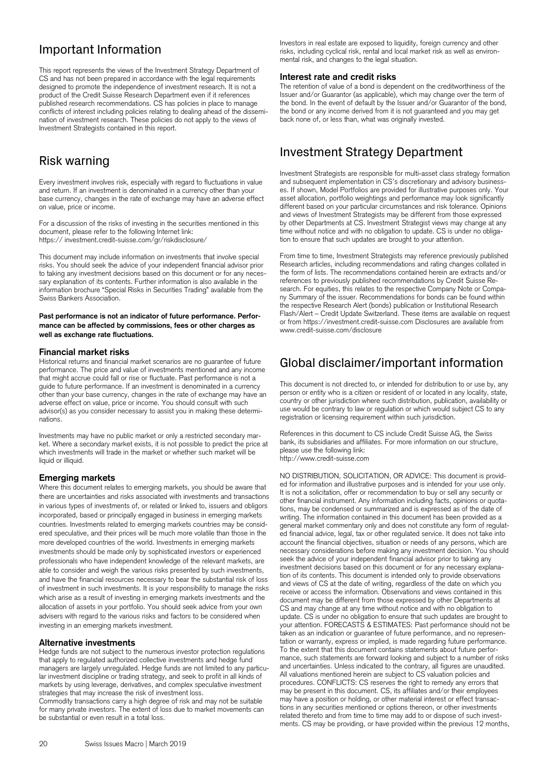# Important Information

This report represents the views of the Investment Strategy Department of CS and has not been prepared in accordance with the legal requirements designed to promote the independence of investment research. It is not a product of the Credit Suisse Research Department even if it references published research recommendations. CS has policies in place to manage conflicts of interest including policies relating to dealing ahead of the dissemination of investment research. These policies do not apply to the views of Investment Strategists contained in this report.

# Risk warning

Every investment involves risk, especially with regard to fluctuations in value and return. If an investment is denominated in a currency other than your base currency, changes in the rate of exchange may have an adverse effect on value, price or income.

For a discussion of the risks of investing in the securities mentioned in this document, please refer to the following Internet link: https:// investment.credit-suisse.com/gr/riskdisclosure/

This document may include information on investments that involve special risks. You should seek the advice of your independent financial advisor prior to taking any investment decisions based on this document or for any necessary explanation of its contents. Further information is also available in the information brochure "Special Risks in Securities Trading" available from the Swiss Bankers Association.

### **Past performance is not an indicator of future performance. Performance can be affected by commissions, fees or other charges as well as exchange rate fluctuations.**

### **Financial market risks**

Historical returns and financial market scenarios are no guarantee of future performance. The price and value of investments mentioned and any income that might accrue could fall or rise or fluctuate. Past performance is not a guide to future performance. If an investment is denominated in a currency other than your base currency, changes in the rate of exchange may have an adverse effect on value, price or income. You should consult with such advisor(s) as you consider necessary to assist you in making these determinations.

Investments may have no public market or only a restricted secondary market. Where a secondary market exists, it is not possible to predict the price at which investments will trade in the market or whether such market will be liquid or illiquid.

### **Emerging markets**

Where this document relates to emerging markets, you should be aware that there are uncertainties and risks associated with investments and transactions in various types of investments of, or related or linked to, issuers and obligors incorporated, based or principally engaged in business in emerging markets countries. Investments related to emerging markets countries may be considered speculative, and their prices will be much more volatile than those in the more developed countries of the world. Investments in emerging markets investments should be made only by sophisticated investors or experienced professionals who have independent knowledge of the relevant markets, are able to consider and weigh the various risks presented by such investments, and have the financial resources necessary to bear the substantial risk of loss of investment in such investments. It is your responsibility to manage the risks which arise as a result of investing in emerging markets investments and the allocation of assets in your portfolio. You should seek advice from your own advisers with regard to the various risks and factors to be considered when investing in an emerging markets investment.

### **Alternative investments**

Hedge funds are not subject to the numerous investor protection regulations that apply to regulated authorized collective investments and hedge fund managers are largely unregulated. Hedge funds are not limited to any particular investment discipline or trading strategy, and seek to profit in all kinds of markets by using leverage, derivatives, and complex speculative investment strategies that may increase the risk of investment loss.

Commodity transactions carry a high degree of risk and may not be suitable for many private investors. The extent of loss due to market movements can be substantial or even result in a total loss.

Investors in real estate are exposed to liquidity, foreign currency and other risks, including cyclical risk, rental and local market risk as well as environmental risk, and changes to the legal situation.

### **Interest rate and credit risks**

The retention of value of a bond is dependent on the creditworthiness of the Issuer and/or Guarantor (as applicable), which may change over the term of the bond. In the event of default by the Issuer and/or Guarantor of the bond, the bond or any income derived from it is not guaranteed and you may get back none of, or less than, what was originally invested.

## Investment Strategy Department

Investment Strategists are responsible for multi-asset class strategy formation and subsequent implementation in CS's discretionary and advisory businesses. If shown, Model Portfolios are provided for illustrative purposes only. Your asset allocation, portfolio weightings and performance may look significantly different based on your particular circumstances and risk tolerance. Opinions and views of Investment Strategists may be different from those expressed by other Departments at CS. Investment Strategist views may change at any time without notice and with no obligation to update. CS is under no obligation to ensure that such updates are brought to your attention.

From time to time, Investment Strategists may reference previously published Research articles, including recommendations and rating changes collated in the form of lists. The recommendations contained herein are extracts and/or references to previously published recommendations by Credit Suisse Research. For equities, this relates to the respective Company Note or Company Summary of the issuer. Recommendations for bonds can be found within the respective Research Alert (bonds) publication or Institutional Research Flash/Alert – Credit Update Switzerland. These items are available on request or from https://investment.credit-suisse.com Disclosures are available from www.credit-suisse.com/disclosure

## Global disclaimer/important information

This document is not directed to, or intended for distribution to or use by, any person or entity who is a citizen or resident of or located in any locality, state, country or other jurisdiction where such distribution, publication, availability or use would be contrary to law or regulation or which would subject CS to any registration or licensing requirement within such jurisdiction.

References in this document to CS include Credit Suisse AG, the Swiss bank, its subsidiaries and affiliates. For more information on our structure, please use the following link: http://www.credit-suisse.com

NO DISTRIBUTION, SOLICITATION, OR ADVICE: This document is provided for information and illustrative purposes and is intended for your use only. It is not a solicitation, offer or recommendation to buy or sell any security or other financial instrument. Any information including facts, opinions or quotations, may be condensed or summarized and is expressed as of the date of writing. The information contained in this document has been provided as a general market commentary only and does not constitute any form of regulated financial advice, legal, tax or other regulated service. It does not take into account the financial objectives, situation or needs of any persons, which are necessary considerations before making any investment decision. You should seek the advice of your independent financial advisor prior to taking any investment decisions based on this document or for any necessary explanation of its contents. This document is intended only to provide observations and views of CS at the date of writing, regardless of the date on which you receive or access the information. Observations and views contained in this document may be different from those expressed by other Departments at CS and may change at any time without notice and with no obligation to update. CS is under no obligation to ensure that such updates are brought to your attention. FORECASTS & ESTIMATES: Past performance should not be taken as an indication or guarantee of future performance, and no representation or warranty, express or implied, is made regarding future performance. To the extent that this document contains statements about future performance, such statements are forward looking and subject to a number of risks and uncertainties. Unless indicated to the contrary, all figures are unaudited. All valuations mentioned herein are subject to CS valuation policies and procedures. CONFLICTS: CS reserves the right to remedy any errors that may be present in this document. CS, its affiliates and/or their employees may have a position or holding, or other material interest or effect transactions in any securities mentioned or options thereon, or other investments related thereto and from time to time may add to or dispose of such investments. CS may be providing, or have provided within the previous 12 months,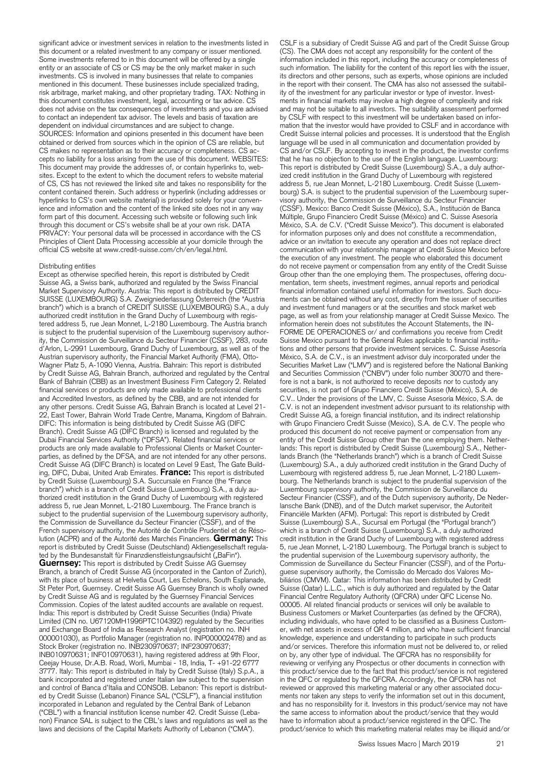significant advice or investment services in relation to the investments listed in this document or a related investment to any company or issuer mentioned. Some investments referred to in this document will be offered by a single entity or an associate of CS or CS may be the only market maker in such investments. CS is involved in many businesses that relate to companies mentioned in this document. These businesses include specialized trading, risk arbitrage, market making, and other proprietary trading. TAX: Nothing in this document constitutes investment, legal, accounting or tax advice. CS does not advise on the tax consequences of investments and you are advised to contact an independent tax advisor. The levels and basis of taxation are dependent on individual circumstances and are subject to change. SOURCES: Information and opinions presented in this document have been obtained or derived from sources which in the opinion of CS are reliable, but CS makes no representation as to their accuracy or completeness. CS accepts no liability for a loss arising from the use of this document. WEBSITES: This document may provide the addresses of, or contain hyperlinks to, websites. Except to the extent to which the document refers to website material of CS, CS has not reviewed the linked site and takes no responsibility for the content contained therein. Such address or hyperlink (including addresses or hyperlinks to CS's own website material) is provided solely for your convenience and information and the content of the linked site does not in any way form part of this document. Accessing such website or following such link through this document or CS's website shall be at your own risk. DATA PRIVACY: Your personal data will be processed in accordance with the CS Principles of Client Data Processing accessible at your domicile through the official CS website at www.credit-suisse.com/ch/en/legal.html.

### Distributing entities

Except as otherwise specified herein, this report is distributed by Credit Suisse AG, a Swiss bank, authorized and regulated by the Swiss Financial Market Supervisory Authority. Austria: This report is distributed by CREDIT SUISSE (LUXEMBOURG) S.A. Zweigniederlassung Österreich (the "Austria branch") which is a branch of CREDIT SUISSE (LUXEMBOURG) S.A., a duly authorized credit institution in the Grand Duchy of Luxembourg with registered address 5, rue Jean Monnet, L-2180 Luxembourg. The Austria branch is subject to the prudential supervision of the Luxembourg supervisory authority, the Commission de Surveillance du Secteur Financier (CSSF), 283, route d'Arlon, L-2991 Luxembourg, Grand Duchy of Luxembourg, as well as of the Austrian supervisory authority, the Financial Market Authority (FMA), Otto-Wagner Platz 5, A-1090 Vienna, Austria. Bahrain: This report is distributed by Credit Suisse AG, Bahrain Branch, authorized and regulated by the Central Bank of Bahrain (CBB) as an Investment Business Firm Category 2. Related financial services or products are only made available to professional clients and Accredited Investors, as defined by the CBB, and are not intended for any other persons. Credit Suisse AG, Bahrain Branch is located at Level 21- 22, East Tower, Bahrain World Trade Centre, Manama, Kingdom of Bahrain. DIFC: This information is being distributed by Credit Suisse AG (DIFC Branch). Credit Suisse AG (DIFC Branch) is licensed and regulated by the Dubai Financial Services Authority ("DFSA"). Related financial services or products are only made available to Professional Clients or Market Counterparties, as defined by the DFSA, and are not intended for any other persons. Credit Suisse AG (DIFC Branch) is located on Level 9 East, The Gate Building, DIFC, Dubai, United Arab Emirates. **France:** This report is distributed by Credit Suisse (Luxembourg) S.A. Succursale en France (the "France branch") which is a branch of Credit Suisse (Luxembourg) S.A., a duly authorized credit institution in the Grand Duchy of Luxembourg with registered address 5, rue Jean Monnet, L-2180 Luxembourg. The France branch is subject to the prudential supervision of the Luxembourg supervisory authority, the Commission de Surveillance du Secteur Financier (CSSF), and of the French supervisory authority, the Autorité de Contrôle Prudentiel et de Résolution (ACPR) and of the Autorité des Marchés Financiers. **Germany:** This report is distributed by Credit Suisse (Deutschland) Aktiengesellschaft regulated by the Bundesanstalt für Finanzdienstleistungsaufsicht ("BaFin"). **Guernsey:** This report is distributed by Credit Suisse AG Guernsey Branch, a branch of Credit Suisse AG (incorporated in the Canton of Zurich), with its place of business at Helvetia Court, Les Echelons, South Esplanade, St Peter Port, Guernsey. Credit Suisse AG Guernsey Branch is wholly owned by Credit Suisse AG and is regulated by the Guernsey Financial Services Commission. Copies of the latest audited accounts are available on request. India: This report is distributed by Credit Suisse Securities (India) Private Limited (CIN no. U67120MH1996PTC104392) regulated by the Securities and Exchange Board of India as Research Analyst (registration no. INH 000001030), as Portfolio Manager (registration no. INP000002478) and as Stock Broker (registration no. INB230970637; INF230970637; INB010970631; INF010970631), having registered address at 9th Floor, Ceejay House, Dr.A.B. Road, Worli, Mumbai - 18, India, T- +91-22 6777 3777. Italy: This report is distributed in Italy by Credit Suisse (Italy) S.p.A., a bank incorporated and registered under Italian law subject to the supervision and control of Banca d'Italia and CONSOB. Lebanon: This report is distributed by Credit Suisse (Lebanon) Finance SAL ("CSLF"), a financial institution incorporated in Lebanon and regulated by the Central Bank of Lebanon ("CBL") with a financial institution license number 42. Credit Suisse (Lebanon) Finance SAL is subject to the CBL's laws and regulations as well as the laws and decisions of the Capital Markets Authority of Lebanon ("CMA").

CSLF is a subsidiary of Credit Suisse AG and part of the Credit Suisse Group (CS). The CMA does not accept any responsibility for the content of the information included in this report, including the accuracy or completeness of such information. The liability for the content of this report lies with the issuer, its directors and other persons, such as experts, whose opinions are included in the report with their consent. The CMA has also not assessed the suitability of the investment for any particular investor or type of investor. Investments in financial markets may involve a high degree of complexity and risk and may not be suitable to all investors. The suitability assessment performed by CSLF with respect to this investment will be undertaken based on information that the investor would have provided to CSLF and in accordance with Credit Suisse internal policies and processes. It is understood that the English language will be used in all communication and documentation provided by CS and/or CSLF. By accepting to invest in the product, the investor confirms that he has no objection to the use of the English language. Luxembourg: This report is distributed by Credit Suisse (Luxembourg) S.A., a duly authorized credit institution in the Grand Duchy of Luxembourg with registered address 5, rue Jean Monnet, L-2180 Luxembourg. Credit Suisse (Luxembourg) S.A. is subject to the prudential supervision of the Luxembourg supervisory authority, the Commission de Surveillance du Secteur Financier (CSSF). Mexico: Banco Credit Suisse (México), S.A., Institución de Banca Múltiple, Grupo Financiero Credit Suisse (México) and C. Suisse Asesoría México, S.A. de C.V. ("Credit Suisse Mexico"). This document is elaborated for information purposes only and does not constitute a recommendation, advice or an invitation to execute any operation and does not replace direct communication with your relationship manager at Credit Suisse Mexico before the execution of any investment. The people who elaborated this document do not receive payment or compensation from any entity of the Credit Suisse Group other than the one employing them. The prospectuses, offering documentation, term sheets, investment regimes, annual reports and periodical financial information contained useful information for investors. Such documents can be obtained without any cost, directly from the issuer of securities and investment fund managers or at the securities and stock market web page, as well as from your relationship manager at Credit Suisse Mexico. The information herein does not substitutes the Account Statements, the IN-FORME DE OPERACIONES or/ and confirmations you receive from Credit Suisse Mexico pursuant to the General Rules applicable to financial institutions and other persons that provide investment services. C. Suisse Asesoría México, S.A. de C.V., is an investment advisor duly incorporated under the Securities Market Law ("LMV") and is registered before the National Banking and Securities Commission ("CNBV") under folio number 30070 and therefore is not a bank, is not authorized to receive deposits nor to custody any securities, is not part of Grupo Financiero Credit Suisse (México), S.A. de C.V.. Under the provisions of the LMV, C. Suisse Asesoría México, S.A. de C.V. is not an independent investment advisor pursuant to its relationship with Credit Suisse AG, a foreign financial institution, and its indirect relationship with Grupo Financiero Credit Suisse (Mexico), S.A. de C.V. The people who produced this document do not receive payment or compensation from any entity of the Credit Suisse Group other than the one employing them. Netherlands: This report is distributed by Credit Suisse (Luxembourg) S.A., Netherlands Branch (the "Netherlands branch") which is a branch of Credit Suisse (Luxembourg) S.A., a duly authorized credit institution in the Grand Duchy of Luxembourg with registered address 5, rue Jean Monnet, L-2180 Luxembourg. The Netherlands branch is subject to the prudential supervision of the Luxembourg supervisory authority, the Commission de Surveillance du Secteur Financier (CSSF), and of the Dutch supervisory authority, De Nederlansche Bank (DNB), and of the Dutch market supervisor, the Autoriteit Financiële Markten (AFM). Portugal: This report is distributed by Credit Suisse (Luxembourg) S.A., Sucursal em Portugal (the "Portugal branch") which is a branch of Credit Suisse (Luxembourg) S.A., a duly authorized credit institution in the Grand Duchy of Luxembourg with registered address 5, rue Jean Monnet, L-2180 Luxembourg. The Portugal branch is subject to the prudential supervision of the Luxembourg supervisory authority, the Commission de Surveillance du Secteur Financier (CSSF), and of the Portuguese supervisory authority, the Comissão do Mercado dos Valores Mobiliários (CMVM). Qatar: This information has been distributed by Credit Suisse (Qatar) L.L.C., which is duly authorized and regulated by the Qatar Financial Centre Regulatory Authority (QFCRA) under QFC License No. 00005. All related financial products or services will only be available to Business Customers or Market Counterparties (as defined by the QFCRA), including individuals, who have opted to be classified as a Business Customer, with net assets in excess of QR 4 million, and who have sufficient financial knowledge, experience and understanding to participate in such products and/or services. Therefore this information must not be delivered to, or relied on by, any other type of individual. The QFCRA has no responsibility for reviewing or verifying any Prospectus or other documents in connection with this product/service due to the fact that this product/service is not registered in the QFC or regulated by the QFCRA. Accordingly, the QFCRA has not reviewed or approved this marketing material or any other associated documents nor taken any steps to verify the information set out in this document, and has no responsibility for it. Investors in this product/service may not have the same access to information about the product/service that they would have to information about a product/service registered in the QFC. The product/service to which this marketing material relates may be illiquid and/or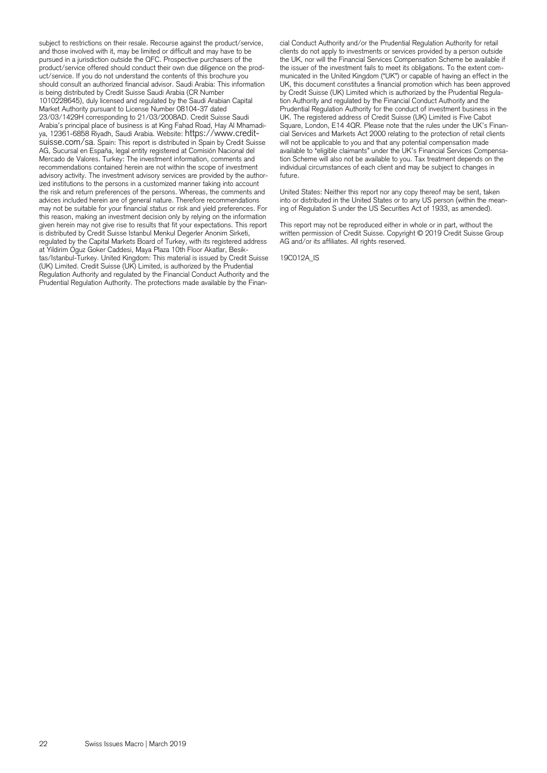subject to restrictions on their resale. Recourse against the product/service, and those involved with it, may be limited or difficult and may have to be pursued in a jurisdiction outside the QFC. Prospective purchasers of the product/service offered should conduct their own due diligence on the product/service. If you do not understand the contents of this brochure you should consult an authorized financial advisor. Saudi Arabia: This information is being distributed by Credit Suisse Saudi Arabia (CR Number 1010228645), duly licensed and regulated by the Saudi Arabian Capital Market Authority pursuant to License Number 08104-37 dated 23/03/1429H corresponding to 21/03/2008AD. Credit Suisse Saudi Arabia's principal place of business is at King Fahad Road, Hay Al Mhamadisuisse.com/sa. Spain: This report is distributed in Spain by Credit Suisse. AG, Sucursal en España, legal entity registered at Comisión Nacional del Mercado de Valores. Turkey: The investment information, comments and recommendations contained herein are not within the scope of investment advisory activity. The investment advisory services are provided by the authorized institutions to the persons in a customized manner taking into account the risk and return preferences of the persons. Whereas, the comments and advices included herein are of general nature. Therefore recommendations may not be suitable for your financial status or risk and yield preferences. For this reason, making an investment decision only by relying on the information given herein may not give rise to results that fit your expectations. This report is distributed by Credit Suisse Istanbul Menkul Degerler Anonim Sirketi, regulated by the Capital Markets Board of Turkey, with its registered address at Yildirim Oguz Goker Caddesi, Maya Plaza 10th Floor Akatlar, Besiktas/Istanbul-Turkey. United Kingdom: This material is issued by Credit Suisse (UK) Limited. Credit Suisse (UK) Limited, is authorized by the Prudential Regulation Authority and regulated by the Financial Conduct Authority and the Prudential Regulation Authority. The protections made available by the Financial Conduct Authority and/or the Prudential Regulation Authority for retail clients do not apply to investments or services provided by a person outside the UK, nor will the Financial Services Compensation Scheme be available if the issuer of the investment fails to meet its obligations. To the extent communicated in the United Kingdom ("UK") or capable of having an effect in the UK, this document constitutes a financial promotion which has been approved by Credit Suisse (UK) Limited which is authorized by the Prudential Regulation Authority and regulated by the Financial Conduct Authority and the Prudential Regulation Authority for the conduct of investment business in the UK. The registered address of Credit Suisse (UK) Limited is Five Cabot Square, London, E14 4QR. Please note that the rules under the UK's Financial Services and Markets Act 2000 relating to the protection of retail clients will not be applicable to you and that any potential compensation made available to "eligible claimants" under the UK's Financial Services Compensation Scheme will also not be available to you. Tax treatment depends on the individual circumstances of each client and may be subject to changes in future.

United States: Neither this report nor any copy thereof may be sent, taken into or distributed in the United States or to any US person (within the meaning of Regulation S under the US Securities Act of 1933, as amended).

This report may not be reproduced either in whole or in part, without the written permission of Credit Suisse. Copyright © 2019 Credit Suisse Group AG and/or its affiliates. All rights reserved.

19C012A\_IS